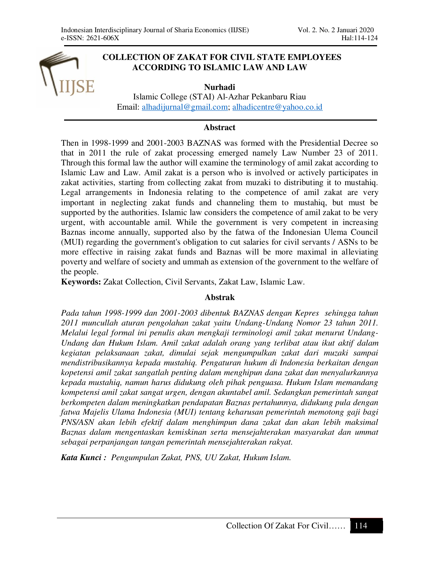# **COLLECTION OF ZAKAT FOR CIVIL STATE EMPLOYEES ACCORDING TO ISLAMIC LAW AND LAW**

**Nurhadi**  Islamic College (STAI) Al-Azhar Pekanbaru Riau Email: alhadijurnal@gmail.com; alhadicentre@yahoo.co.id

#### **Abstract**

Then in 1998-1999 and 2001-2003 BAZNAS was formed with the Presidential Decree so that in 2011 the rule of zakat processing emerged namely Law Number 23 of 2011. Through this formal law the author will examine the terminology of amil zakat according to Islamic Law and Law. Amil zakat is a person who is involved or actively participates in zakat activities, starting from collecting zakat from muzaki to distributing it to mustahiq. Legal arrangements in Indonesia relating to the competence of amil zakat are very important in neglecting zakat funds and channeling them to mustahiq, but must be supported by the authorities. Islamic law considers the competence of amil zakat to be very urgent, with accountable amil. While the government is very competent in increasing Baznas income annually, supported also by the fatwa of the Indonesian Ulema Council (MUI) regarding the government's obligation to cut salaries for civil servants / ASNs to be more effective in raising zakat funds and Baznas will be more maximal in alleviating poverty and welfare of society and ummah as extension of the government to the welfare of the people.

**Keywords:** Zakat Collection, Civil Servants, Zakat Law, Islamic Law.

#### **Abstrak**

*Pada tahun 1998-1999 dan 2001-2003 dibentuk BAZNAS dengan Kepres sehingga tahun 2011 muncullah aturan pengolahan zakat yaitu Undang-Undang Nomor 23 tahun 2011. Melalui legal formal ini penulis akan mengkaji terminologi amil zakat menurut Undang-Undang dan Hukum Islam. Amil zakat adalah orang yang terlibat atau ikut aktif dalam kegiatan pelaksanaan zakat, dimulai sejak mengumpulkan zakat dari muzaki sampai mendistribusikannya kepada mustahiq. Pengaturan hukum di Indonesia berkaitan dengan kopetensi amil zakat sangatlah penting dalam menghipun dana zakat dan menyalurkannya kepada mustahiq, namun harus didukung oleh pihak penguasa. Hukum Islam memandang kompetensi amil zakat sangat urgen, dengan akuntabel amil. Sedangkan pemerintah sangat berkompeten dalam meningkatkan pendapatan Baznas pertahunnya, didukung pula dengan fatwa Majelis Ulama Indonesia (MUI) tentang keharusan pemerintah memotong gaji bagi PNS/ASN akan lebih efektif dalam menghimpun dana zakat dan akan lebih maksimal Baznas dalam mengentaskan kemiskinan serta mensejahterakan masyarakat dan ummat sebagai perpanjangan tangan pemerintah mensejahterakan rakyat.* 

*Kata Kunci : Pengumpulan Zakat, PNS, UU Zakat, Hukum Islam.*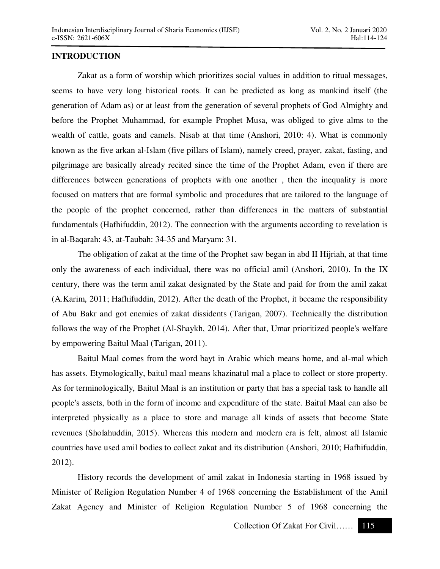# **INTRODUCTION**

Zakat as a form of worship which prioritizes social values in addition to ritual messages, seems to have very long historical roots. It can be predicted as long as mankind itself (the generation of Adam as) or at least from the generation of several prophets of God Almighty and before the Prophet Muhammad, for example Prophet Musa, was obliged to give alms to the wealth of cattle, goats and camels. Nisab at that time (Anshori, 2010: 4). What is commonly known as the five arkan al-Islam (five pillars of Islam), namely creed, prayer, zakat, fasting, and pilgrimage are basically already recited since the time of the Prophet Adam, even if there are differences between generations of prophets with one another , then the inequality is more focused on matters that are formal symbolic and procedures that are tailored to the language of the people of the prophet concerned, rather than differences in the matters of substantial fundamentals (Hafhifuddin, 2012). The connection with the arguments according to revelation is in al-Baqarah: 43, at-Taubah: 34-35 and Maryam: 31.

The obligation of zakat at the time of the Prophet saw began in abd II Hijriah, at that time only the awareness of each individual, there was no official amil (Anshori, 2010). In the IX century, there was the term amil zakat designated by the State and paid for from the amil zakat (A.Karim, 2011; Hafhifuddin, 2012). After the death of the Prophet, it became the responsibility of Abu Bakr and got enemies of zakat dissidents (Tarigan, 2007). Technically the distribution follows the way of the Prophet (Al-Shaykh, 2014). After that, Umar prioritized people's welfare by empowering Baitul Maal (Tarigan, 2011).

Baitul Maal comes from the word bayt in Arabic which means home, and al-mal which has assets. Etymologically, baitul maal means khazinatul mal a place to collect or store property. As for terminologically, Baitul Maal is an institution or party that has a special task to handle all people's assets, both in the form of income and expenditure of the state. Baitul Maal can also be interpreted physically as a place to store and manage all kinds of assets that become State revenues (Sholahuddin, 2015). Whereas this modern and modern era is felt, almost all Islamic countries have used amil bodies to collect zakat and its distribution (Anshori, 2010; Hafhifuddin, 2012).

History records the development of amil zakat in Indonesia starting in 1968 issued by Minister of Religion Regulation Number 4 of 1968 concerning the Establishment of the Amil Zakat Agency and Minister of Religion Regulation Number 5 of 1968 concerning the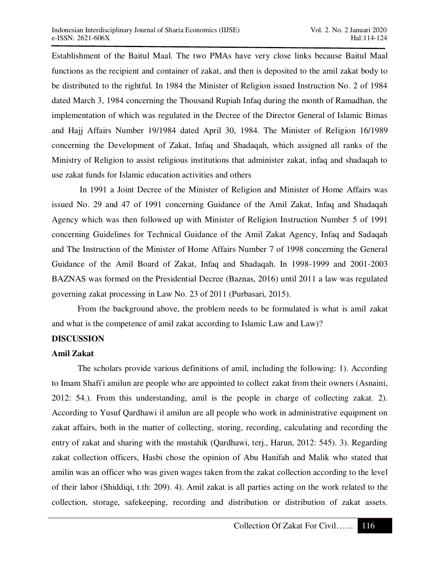Establishment of the Baitul Maal. The two PMAs have very close links because Baitul Maal functions as the recipient and container of zakat, and then is deposited to the amil zakat body to be distributed to the rightful. In 1984 the Minister of Religion issued Instruction No. 2 of 1984 dated March 3, 1984 concerning the Thousand Rupiah Infaq during the month of Ramadhan, the implementation of which was regulated in the Decree of the Director General of Islamic Bimas and Hajj Affairs Number 19/1984 dated April 30, 1984. The Minister of Religion 16/1989 concerning the Development of Zakat, Infaq and Shadaqah, which assigned all ranks of the Ministry of Religion to assist religious institutions that administer zakat, infaq and shadaqah to use zakat funds for Islamic education activities and others

 In 1991 a Joint Decree of the Minister of Religion and Minister of Home Affairs was issued No. 29 and 47 of 1991 concerning Guidance of the Amil Zakat, Infaq and Shadaqah Agency which was then followed up with Minister of Religion Instruction Number 5 of 1991 concerning Guidelines for Technical Guidance of the Amil Zakat Agency, Infaq and Sadaqah and The Instruction of the Minister of Home Affairs Number 7 of 1998 concerning the General Guidance of the Amil Board of Zakat, Infaq and Shadaqah. In 1998-1999 and 2001-2003 BAZNAS was formed on the Presidential Decree (Baznas, 2016) until 2011 a law was regulated governing zakat processing in Law No. 23 of 2011 (Purbasari, 2015).

From the background above, the problem needs to be formulated is what is amil zakat and what is the competence of amil zakat according to Islamic Law and Law)?

# **DISCUSSION**

#### **Amil Zakat**

The scholars provide various definitions of amil, including the following: 1). According to Imam Shafi'i amilun are people who are appointed to collect zakat from their owners (Asnaini, 2012: 54.). From this understanding, amil is the people in charge of collecting zakat. 2). According to Yusuf Qardhawi il amilun are all people who work in administrative equipment on zakat affairs, both in the matter of collecting, storing, recording, calculating and recording the entry of zakat and sharing with the mustahik (Qardhawi, terj., Harun, 2012: 545). 3). Regarding zakat collection officers, Hasbi chose the opinion of Abu Hanifah and Malik who stated that amilin was an officer who was given wages taken from the zakat collection according to the level of their labor (Shiddiqi, t.th: 209). 4). Amil zakat is all parties acting on the work related to the collection, storage, safekeeping, recording and distribution or distribution of zakat assets.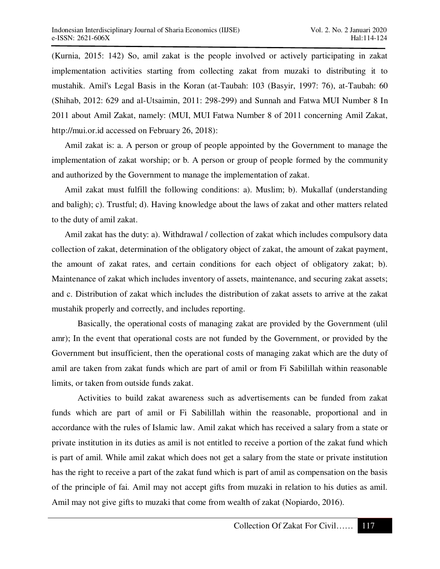(Kurnia, 2015: 142) So, amil zakat is the people involved or actively participating in zakat implementation activities starting from collecting zakat from muzaki to distributing it to mustahik. Amil's Legal Basis in the Koran (at-Taubah: 103 (Basyir, 1997: 76), at-Taubah: 60 (Shihab, 2012: 629 and al-Utsaimin, 2011: 298-299) and Sunnah and Fatwa MUI Number 8 In 2011 about Amil Zakat, namely: (MUI, MUI Fatwa Number 8 of 2011 concerning Amil Zakat, http://mui.or.id accessed on February 26, 2018):

Amil zakat is: a. A person or group of people appointed by the Government to manage the implementation of zakat worship; or b. A person or group of people formed by the community and authorized by the Government to manage the implementation of zakat.

Amil zakat must fulfill the following conditions: a). Muslim; b). Mukallaf (understanding and baligh); c). Trustful; d). Having knowledge about the laws of zakat and other matters related to the duty of amil zakat.

Amil zakat has the duty: a). Withdrawal / collection of zakat which includes compulsory data collection of zakat, determination of the obligatory object of zakat, the amount of zakat payment, the amount of zakat rates, and certain conditions for each object of obligatory zakat; b). Maintenance of zakat which includes inventory of assets, maintenance, and securing zakat assets; and c. Distribution of zakat which includes the distribution of zakat assets to arrive at the zakat mustahik properly and correctly, and includes reporting.

Basically, the operational costs of managing zakat are provided by the Government (ulil amr); In the event that operational costs are not funded by the Government, or provided by the Government but insufficient, then the operational costs of managing zakat which are the duty of amil are taken from zakat funds which are part of amil or from Fi Sabilillah within reasonable limits, or taken from outside funds zakat.

Activities to build zakat awareness such as advertisements can be funded from zakat funds which are part of amil or Fi Sabilillah within the reasonable, proportional and in accordance with the rules of Islamic law. Amil zakat which has received a salary from a state or private institution in its duties as amil is not entitled to receive a portion of the zakat fund which is part of amil. While amil zakat which does not get a salary from the state or private institution has the right to receive a part of the zakat fund which is part of amil as compensation on the basis of the principle of fai. Amil may not accept gifts from muzaki in relation to his duties as amil. Amil may not give gifts to muzaki that come from wealth of zakat (Nopiardo, 2016).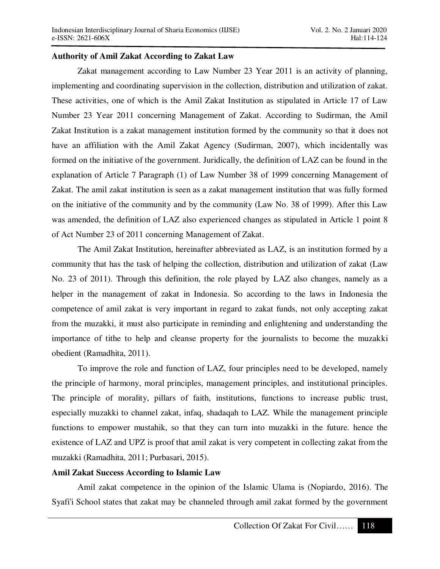### **Authority of Amil Zakat According to Zakat Law**

Zakat management according to Law Number 23 Year 2011 is an activity of planning, implementing and coordinating supervision in the collection, distribution and utilization of zakat. These activities, one of which is the Amil Zakat Institution as stipulated in Article 17 of Law Number 23 Year 2011 concerning Management of Zakat. According to Sudirman, the Amil Zakat Institution is a zakat management institution formed by the community so that it does not have an affiliation with the Amil Zakat Agency (Sudirman, 2007), which incidentally was formed on the initiative of the government. Juridically, the definition of LAZ can be found in the explanation of Article 7 Paragraph (1) of Law Number 38 of 1999 concerning Management of Zakat. The amil zakat institution is seen as a zakat management institution that was fully formed on the initiative of the community and by the community (Law No. 38 of 1999). After this Law was amended, the definition of LAZ also experienced changes as stipulated in Article 1 point 8 of Act Number 23 of 2011 concerning Management of Zakat.

The Amil Zakat Institution, hereinafter abbreviated as LAZ, is an institution formed by a community that has the task of helping the collection, distribution and utilization of zakat (Law No. 23 of 2011). Through this definition, the role played by LAZ also changes, namely as a helper in the management of zakat in Indonesia. So according to the laws in Indonesia the competence of amil zakat is very important in regard to zakat funds, not only accepting zakat from the muzakki, it must also participate in reminding and enlightening and understanding the importance of tithe to help and cleanse property for the journalists to become the muzakki obedient (Ramadhita, 2011).

To improve the role and function of LAZ, four principles need to be developed, namely the principle of harmony, moral principles, management principles, and institutional principles. The principle of morality, pillars of faith, institutions, functions to increase public trust, especially muzakki to channel zakat, infaq, shadaqah to LAZ. While the management principle functions to empower mustahik, so that they can turn into muzakki in the future. hence the existence of LAZ and UPZ is proof that amil zakat is very competent in collecting zakat from the muzakki (Ramadhita, 2011; Purbasari, 2015).

# **Amil Zakat Success According to Islamic Law**

Amil zakat competence in the opinion of the Islamic Ulama is (Nopiardo, 2016). The Syafi'i School states that zakat may be channeled through amil zakat formed by the government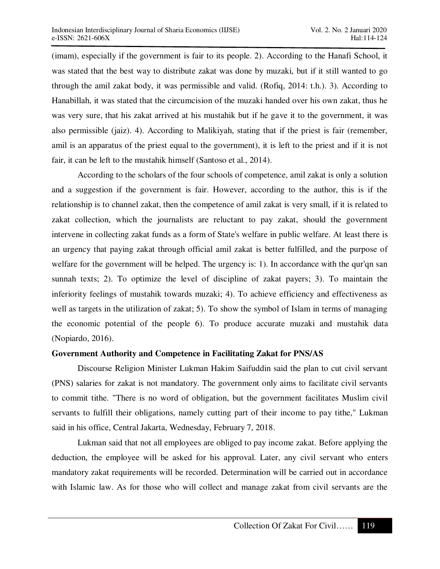(imam), especially if the government is fair to its people. 2). According to the Hanafi School, it was stated that the best way to distribute zakat was done by muzaki, but if it still wanted to go through the amil zakat body, it was permissible and valid. (Rofiq, 2014: t.h.). 3). According to Hanabillah, it was stated that the circumcision of the muzaki handed over his own zakat, thus he was very sure, that his zakat arrived at his mustahik but if he gave it to the government, it was also permissible (jaiz). 4). According to Malikiyah, stating that if the priest is fair (remember, amil is an apparatus of the priest equal to the government), it is left to the priest and if it is not fair, it can be left to the mustahik himself (Santoso et al., 2014).

According to the scholars of the four schools of competence, amil zakat is only a solution and a suggestion if the government is fair. However, according to the author, this is if the relationship is to channel zakat, then the competence of amil zakat is very small, if it is related to zakat collection, which the journalists are reluctant to pay zakat, should the government intervene in collecting zakat funds as a form of State's welfare in public welfare. At least there is an urgency that paying zakat through official amil zakat is better fulfilled, and the purpose of welfare for the government will be helped. The urgency is: 1). In accordance with the qur'qn san sunnah texts; 2). To optimize the level of discipline of zakat payers; 3). To maintain the inferiority feelings of mustahik towards muzaki; 4). To achieve efficiency and effectiveness as well as targets in the utilization of zakat; 5). To show the symbol of Islam in terms of managing the economic potential of the people 6). To produce accurate muzaki and mustahik data (Nopiardo, 2016).

#### **Government Authority and Competence in Facilitating Zakat for PNS/AS**

Discourse Religion Minister Lukman Hakim Saifuddin said the plan to cut civil servant (PNS) salaries for zakat is not mandatory. The government only aims to facilitate civil servants to commit tithe. "There is no word of obligation, but the government facilitates Muslim civil servants to fulfill their obligations, namely cutting part of their income to pay tithe," Lukman said in his office, Central Jakarta, Wednesday, February 7, 2018.

Lukman said that not all employees are obliged to pay income zakat. Before applying the deduction, the employee will be asked for his approval. Later, any civil servant who enters mandatory zakat requirements will be recorded. Determination will be carried out in accordance with Islamic law. As for those who will collect and manage zakat from civil servants are the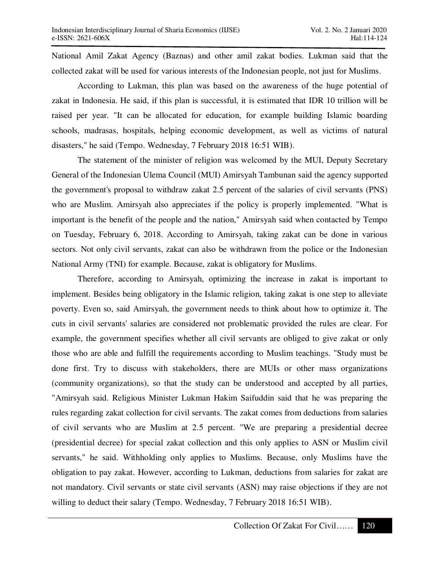National Amil Zakat Agency (Baznas) and other amil zakat bodies. Lukman said that the collected zakat will be used for various interests of the Indonesian people, not just for Muslims.

According to Lukman, this plan was based on the awareness of the huge potential of zakat in Indonesia. He said, if this plan is successful, it is estimated that IDR 10 trillion will be raised per year. "It can be allocated for education, for example building Islamic boarding schools, madrasas, hospitals, helping economic development, as well as victims of natural disasters," he said (Tempo. Wednesday, 7 February 2018 16:51 WIB).

The statement of the minister of religion was welcomed by the MUI, Deputy Secretary General of the Indonesian Ulema Council (MUI) Amirsyah Tambunan said the agency supported the government's proposal to withdraw zakat 2.5 percent of the salaries of civil servants (PNS) who are Muslim. Amirsyah also appreciates if the policy is properly implemented. "What is important is the benefit of the people and the nation," Amirsyah said when contacted by Tempo on Tuesday, February 6, 2018. According to Amirsyah, taking zakat can be done in various sectors. Not only civil servants, zakat can also be withdrawn from the police or the Indonesian National Army (TNI) for example. Because, zakat is obligatory for Muslims.

Therefore, according to Amirsyah, optimizing the increase in zakat is important to implement. Besides being obligatory in the Islamic religion, taking zakat is one step to alleviate poverty. Even so, said Amirsyah, the government needs to think about how to optimize it. The cuts in civil servants' salaries are considered not problematic provided the rules are clear. For example, the government specifies whether all civil servants are obliged to give zakat or only those who are able and fulfill the requirements according to Muslim teachings. "Study must be done first. Try to discuss with stakeholders, there are MUIs or other mass organizations (community organizations), so that the study can be understood and accepted by all parties, "Amirsyah said. Religious Minister Lukman Hakim Saifuddin said that he was preparing the rules regarding zakat collection for civil servants. The zakat comes from deductions from salaries of civil servants who are Muslim at 2.5 percent. "We are preparing a presidential decree (presidential decree) for special zakat collection and this only applies to ASN or Muslim civil servants," he said. Withholding only applies to Muslims. Because, only Muslims have the obligation to pay zakat. However, according to Lukman, deductions from salaries for zakat are not mandatory. Civil servants or state civil servants (ASN) may raise objections if they are not willing to deduct their salary (Tempo. Wednesday, 7 February 2018 16:51 WIB).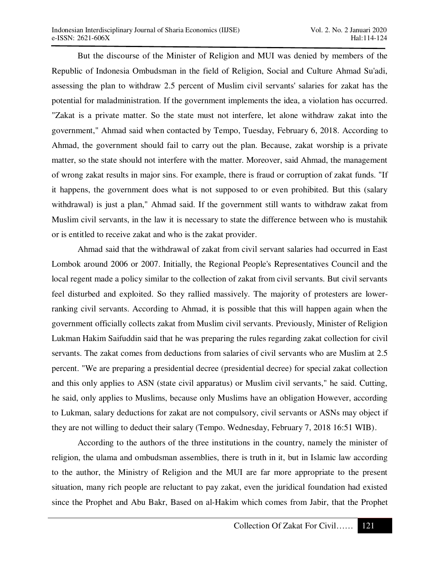But the discourse of the Minister of Religion and MUI was denied by members of the Republic of Indonesia Ombudsman in the field of Religion, Social and Culture Ahmad Su'adi, assessing the plan to withdraw 2.5 percent of Muslim civil servants' salaries for zakat has the potential for maladministration. If the government implements the idea, a violation has occurred. "Zakat is a private matter. So the state must not interfere, let alone withdraw zakat into the government," Ahmad said when contacted by Tempo, Tuesday, February 6, 2018. According to Ahmad, the government should fail to carry out the plan. Because, zakat worship is a private matter, so the state should not interfere with the matter. Moreover, said Ahmad, the management of wrong zakat results in major sins. For example, there is fraud or corruption of zakat funds. "If it happens, the government does what is not supposed to or even prohibited. But this (salary withdrawal) is just a plan," Ahmad said. If the government still wants to withdraw zakat from Muslim civil servants, in the law it is necessary to state the difference between who is mustahik or is entitled to receive zakat and who is the zakat provider.

Ahmad said that the withdrawal of zakat from civil servant salaries had occurred in East Lombok around 2006 or 2007. Initially, the Regional People's Representatives Council and the local regent made a policy similar to the collection of zakat from civil servants. But civil servants feel disturbed and exploited. So they rallied massively. The majority of protesters are lowerranking civil servants. According to Ahmad, it is possible that this will happen again when the government officially collects zakat from Muslim civil servants. Previously, Minister of Religion Lukman Hakim Saifuddin said that he was preparing the rules regarding zakat collection for civil servants. The zakat comes from deductions from salaries of civil servants who are Muslim at 2.5 percent. "We are preparing a presidential decree (presidential decree) for special zakat collection and this only applies to ASN (state civil apparatus) or Muslim civil servants," he said. Cutting, he said, only applies to Muslims, because only Muslims have an obligation However, according to Lukman, salary deductions for zakat are not compulsory, civil servants or ASNs may object if they are not willing to deduct their salary (Tempo. Wednesday, February 7, 2018 16:51 WIB).

According to the authors of the three institutions in the country, namely the minister of religion, the ulama and ombudsman assemblies, there is truth in it, but in Islamic law according to the author, the Ministry of Religion and the MUI are far more appropriate to the present situation, many rich people are reluctant to pay zakat, even the juridical foundation had existed since the Prophet and Abu Bakr, Based on al-Hakim which comes from Jabir, that the Prophet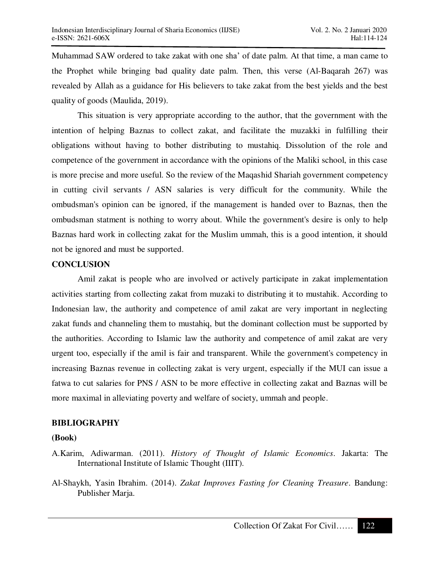Muhammad SAW ordered to take zakat with one sha' of date palm. At that time, a man came to the Prophet while bringing bad quality date palm. Then, this verse (Al-Baqarah 267) was revealed by Allah as a guidance for His believers to take zakat from the best yields and the best quality of goods (Maulida, 2019).

This situation is very appropriate according to the author, that the government with the intention of helping Baznas to collect zakat, and facilitate the muzakki in fulfilling their obligations without having to bother distributing to mustahiq. Dissolution of the role and competence of the government in accordance with the opinions of the Maliki school, in this case is more precise and more useful. So the review of the Maqashid Shariah government competency in cutting civil servants / ASN salaries is very difficult for the community. While the ombudsman's opinion can be ignored, if the management is handed over to Baznas, then the ombudsman statment is nothing to worry about. While the government's desire is only to help Baznas hard work in collecting zakat for the Muslim ummah, this is a good intention, it should not be ignored and must be supported.

#### **CONCLUSION**

Amil zakat is people who are involved or actively participate in zakat implementation activities starting from collecting zakat from muzaki to distributing it to mustahik. According to Indonesian law, the authority and competence of amil zakat are very important in neglecting zakat funds and channeling them to mustahiq, but the dominant collection must be supported by the authorities. According to Islamic law the authority and competence of amil zakat are very urgent too, especially if the amil is fair and transparent. While the government's competency in increasing Baznas revenue in collecting zakat is very urgent, especially if the MUI can issue a fatwa to cut salaries for PNS / ASN to be more effective in collecting zakat and Baznas will be more maximal in alleviating poverty and welfare of society, ummah and people.

#### **BIBLIOGRAPHY**

#### **(Book)**

- A.Karim, Adiwarman. (2011). *History of Thought of Islamic Economics*. Jakarta: The International Institute of Islamic Thought (IIIT).
- Al-Shaykh, Yasin Ibrahim. (2014). *Zakat Improves Fasting for Cleaning Treasure*. Bandung: Publisher Marja.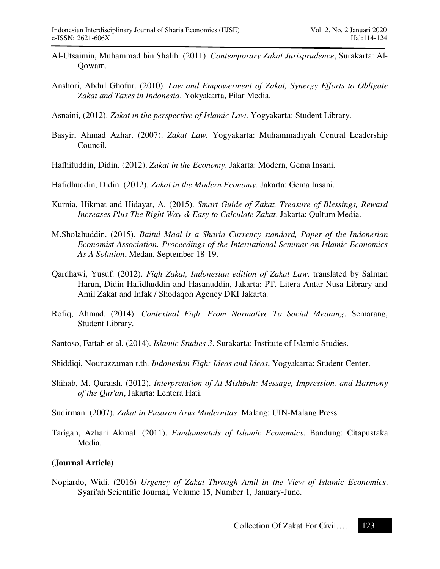- Al-Utsaimin, Muhammad bin Shalih. (2011). *Contemporary Zakat Jurisprudence*, Surakarta: Al-Qowam.
- Anshori, Abdul Ghofur. (2010). *Law and Empowerment of Zakat, Synergy Efforts to Obligate Zakat and Taxes in Indonesia*. Yokyakarta, Pilar Media.
- Asnaini, (2012). *Zakat in the perspective of Islamic Law*. Yogyakarta: Student Library.
- Basyir, Ahmad Azhar. (2007). *Zakat Law*. Yogyakarta: Muhammadiyah Central Leadership Council.
- Hafhifuddin, Didin. (2012). *Zakat in the Economy*. Jakarta: Modern, Gema Insani.

Hafidhuddin, Didin. (2012). *Zakat in the Modern Economy*. Jakarta: Gema Insani.

- Kurnia, Hikmat and Hidayat, A. (2015). *Smart Guide of Zakat, Treasure of Blessings, Reward Increases Plus The Right Way & Easy to Calculate Zakat*. Jakarta: Qultum Media.
- M.Sholahuddin. (2015). *Baitul Maal is a Sharia Currency standard, Paper of the Indonesian Economist Association. Proceedings of the International Seminar on Islamic Economics As A Solution*, Medan, September 18-19.
- Qardhawi, Yusuf. (2012). *Fiqh Zakat, Indonesian edition of Zakat Law*. translated by Salman Harun, Didin Hafidhuddin and Hasanuddin, Jakarta: PT. Litera Antar Nusa Library and Amil Zakat and Infak / Shodaqoh Agency DKI Jakarta.
- Rofiq, Ahmad. (2014). *Contextual Fiqh. From Normative To Social Meaning*. Semarang, Student Library.
- Santoso, Fattah et al. (2014). *Islamic Studies 3*. Surakarta: Institute of Islamic Studies.
- Shiddiqi, Nouruzzaman t.th. *Indonesian Fiqh: Ideas and Ideas*, Yogyakarta: Student Center.
- Shihab, M. Quraish. (2012). *Interpretation of Al-Mishbah: Message, Impression, and Harmony of the Qur'an*, Jakarta: Lentera Hati.
- Sudirman. (2007). *Zakat in Pusaran Arus Modernitas*. Malang: UIN-Malang Press.
- Tarigan, Azhari Akmal. (2011). *Fundamentals of Islamic Economics*. Bandung: Citapustaka Media.

# **(Journal Article)**

Nopiardo, Widi. (2016) *Urgency of Zakat Through Amil in the View of Islamic Economics*. Syari'ah Scientific Journal, Volume 15, Number 1, January-June.